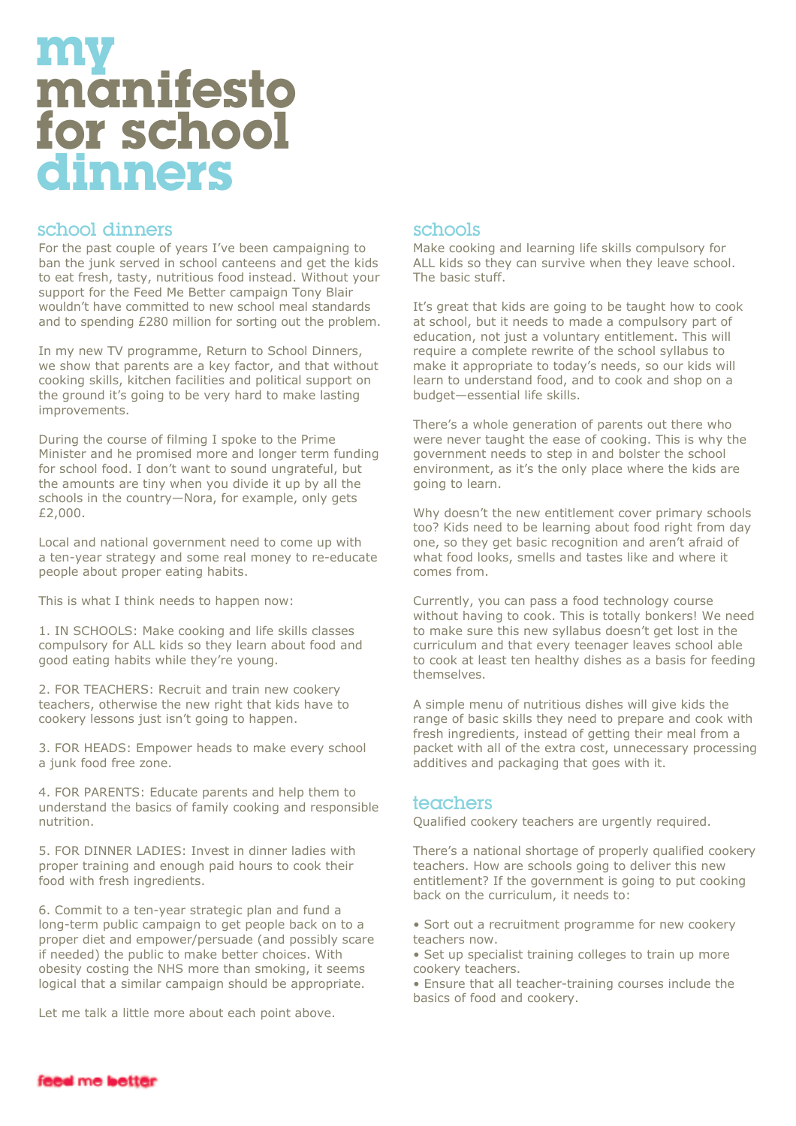# **my manifesto for school dinners**

# school dinners schools

For the past couple of years I've been campaigning to ban the junk served in school canteens and get the kids to eat fresh, tasty, nutritious food instead. Without your support for the Feed Me Better campaign Tony Blair wouldn't have committed to new school meal standards and to spending £280 million for sorting out the problem.

In my new TV programme, Return to School Dinners, we show that parents are a key factor, and that without cooking skills, kitchen facilities and political support on the ground it's going to be very hard to make lasting improvements.

During the course of filming I spoke to the Prime Minister and he promised more and longer term funding for school food. I don't want to sound ungrateful, but the amounts are tiny when you divide it up by all the schools in the country—Nora, for example, only gets £2,000.

Local and national government need to come up with a ten-year strategy and some real money to re-educate people about proper eating habits.

This is what I think needs to happen now:

1. IN SCHOOLS: Make cooking and life skills classes compulsory for ALL kids so they learn about food and good eating habits while they're young.

2. FOR TEACHERS: Recruit and train new cookery teachers, otherwise the new right that kids have to cookery lessons just isn't going to happen.

3. FOR HEADS: Empower heads to make every school a junk food free zone.

4. FOR PARENTS: Educate parents and help them to understand the basics of family cooking and responsible nutrition.

5. FOR DINNER LADIES: Invest in dinner ladies with proper training and enough paid hours to cook their food with fresh ingredients.

6. Commit to a ten-year strategic plan and fund a long-term public campaign to get people back on to a proper diet and empower/persuade (and possibly scare if needed) the public to make better choices. With obesity costing the NHS more than smoking, it seems logical that a similar campaign should be appropriate.

Let me talk a little more about each point above.

Make cooking and learning life skills compulsory for ALL kids so they can survive when they leave school. The basic stuff.

It's great that kids are going to be taught how to cook at school, but it needs to made a compulsory part of education, not just a voluntary entitlement. This will require a complete rewrite of the school syllabus to make it appropriate to today's needs, so our kids will learn to understand food, and to cook and shop on a budget—essential life skills.

There's a whole generation of parents out there who were never taught the ease of cooking. This is why the government needs to step in and bolster the school environment, as it's the only place where the kids are going to learn.

Why doesn't the new entitlement cover primary schools too? Kids need to be learning about food right from day one, so they get basic recognition and aren't afraid of what food looks, smells and tastes like and where it comes from.

Currently, you can pass a food technology course without having to cook. This is totally bonkers! We need to make sure this new syllabus doesn't get lost in the curriculum and that every teenager leaves school able to cook at least ten healthy dishes as a basis for feeding themselves.

A simple menu of nutritious dishes will give kids the range of basic skills they need to prepare and cook with fresh ingredients, instead of getting their meal from a packet with all of the extra cost, unnecessary processing additives and packaging that goes with it.

### teachers

Qualified cookery teachers are urgently required.

There's a national shortage of properly qualified cookery teachers. How are schools going to deliver this new entitlement? If the government is going to put cooking back on the curriculum, it needs to:

• Sort out a recruitment programme for new cookery teachers now.

• Set up specialist training colleges to train up more cookery teachers.

• Ensure that all teacher-training courses include the basics of food and cookery.